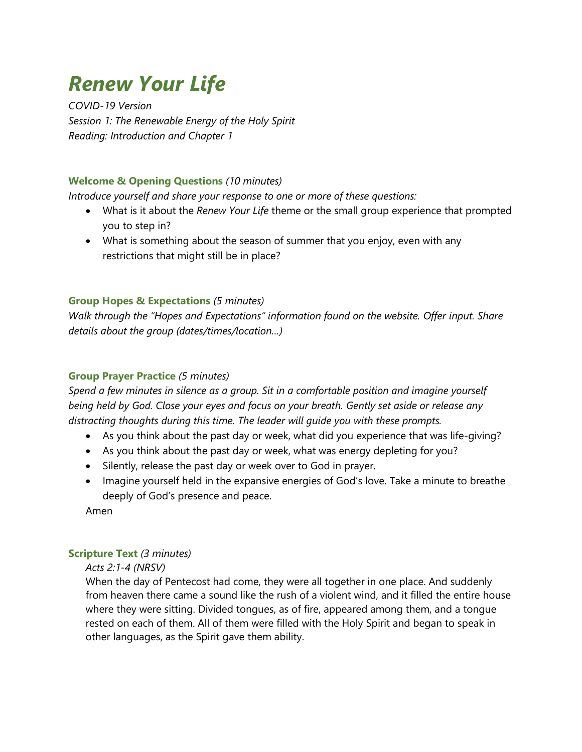# *Renew Your Life*

*COVID-19 Version Session 1: The Renewable Energy of the Holy Spirit Reading: Introduction and Chapter 1*

## **Welcome & Opening Questions** *(10 minutes)*

*Introduce yourself and share your response to one or more of these questions:*

- What is it about the *Renew Your Life* theme or the small group experience that prompted you to step in?
- What is something about the season of summer that you enjoy, even with any restrictions that might still be in place?

## **Group Hopes & Expectations** *(5 minutes)*

*Walk through the "Hopes and Expectations" information found on the website. Offer input. Share details about the group (dates/times/location…)*

## **Group Prayer Practice** *(5 minutes)*

*Spend a few minutes in silence as a group. Sit in a comfortable position and imagine yourself being held by God. Close your eyes and focus on your breath. Gently set aside or release any distracting thoughts during this time. The leader will guide you with these prompts.*

- As you think about the past day or week, what did you experience that was life-giving?
- As you think about the past day or week, what was energy depleting for you?
- Silently, release the past day or week over to God in prayer.
- Imagine yourself held in the expansive energies of God's love. Take a minute to breathe deeply of God's presence and peace.

Amen

## **Scripture Text** *(3 minutes)*

*Acts 2:1-4 (NRSV)*

When the day of Pentecost had come, they were all together in one place. And suddenly from heaven there came a sound like the rush of a violent wind, and it filled the entire house where they were sitting. Divided tongues, as of fire, appeared among them, and a tongue rested on each of them. All of them were filled with the Holy Spirit and began to speak in other languages, as the Spirit gave them ability.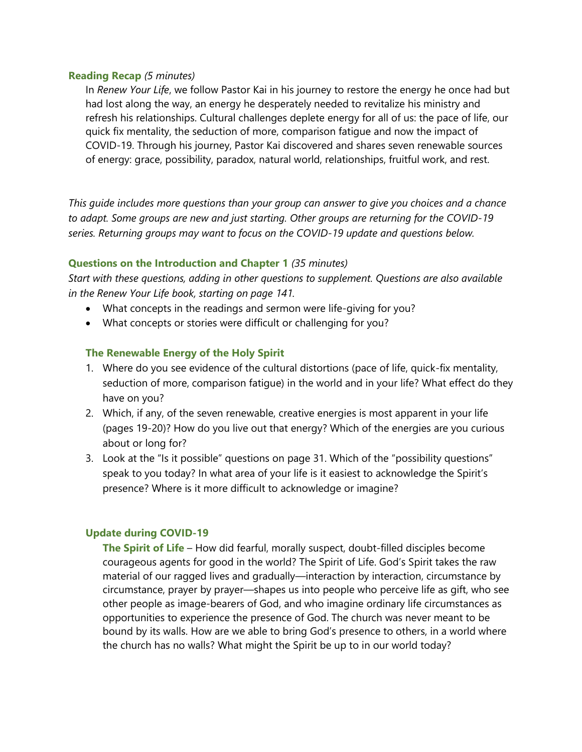#### **Reading Recap** *(5 minutes)*

In *Renew Your Life*, we follow Pastor Kai in his journey to restore the energy he once had but had lost along the way, an energy he desperately needed to revitalize his ministry and refresh his relationships. Cultural challenges deplete energy for all of us: the pace of life, our quick fix mentality, the seduction of more, comparison fatigue and now the impact of COVID-19. Through his journey, Pastor Kai discovered and shares seven renewable sources of energy: grace, possibility, paradox, natural world, relationships, fruitful work, and rest.

*This guide includes more questions than your group can answer to give you choices and a chance to adapt. Some groups are new and just starting. Other groups are returning for the COVID-19 series. Returning groups may want to focus on the COVID-19 update and questions below.*

#### **Questions on the Introduction and Chapter 1** *(35 minutes)*

*Start with these questions, adding in other questions to supplement. Questions are also available in the Renew Your Life book, starting on page 141.*

- What concepts in the readings and sermon were life-giving for you?
- What concepts or stories were difficult or challenging for you?

#### **The Renewable Energy of the Holy Spirit**

- 1. Where do you see evidence of the cultural distortions (pace of life, quick-fix mentality, seduction of more, comparison fatigue) in the world and in your life? What effect do they have on you?
- 2. Which, if any, of the seven renewable, creative energies is most apparent in your life (pages 19-20)? How do you live out that energy? Which of the energies are you curious about or long for?
- 3. Look at the "Is it possible" questions on page 31. Which of the "possibility questions" speak to you today? In what area of your life is it easiest to acknowledge the Spirit's presence? Where is it more difficult to acknowledge or imagine?

#### **Update during COVID-19**

**The Spirit of Life** – How did fearful, morally suspect, doubt-filled disciples become courageous agents for good in the world? The Spirit of Life. God's Spirit takes the raw material of our ragged lives and gradually—interaction by interaction, circumstance by circumstance, prayer by prayer—shapes us into people who perceive life as gift, who see other people as image-bearers of God, and who imagine ordinary life circumstances as opportunities to experience the presence of God. The church was never meant to be bound by its walls. How are we able to bring God's presence to others, in a world where the church has no walls? What might the Spirit be up to in our world today?